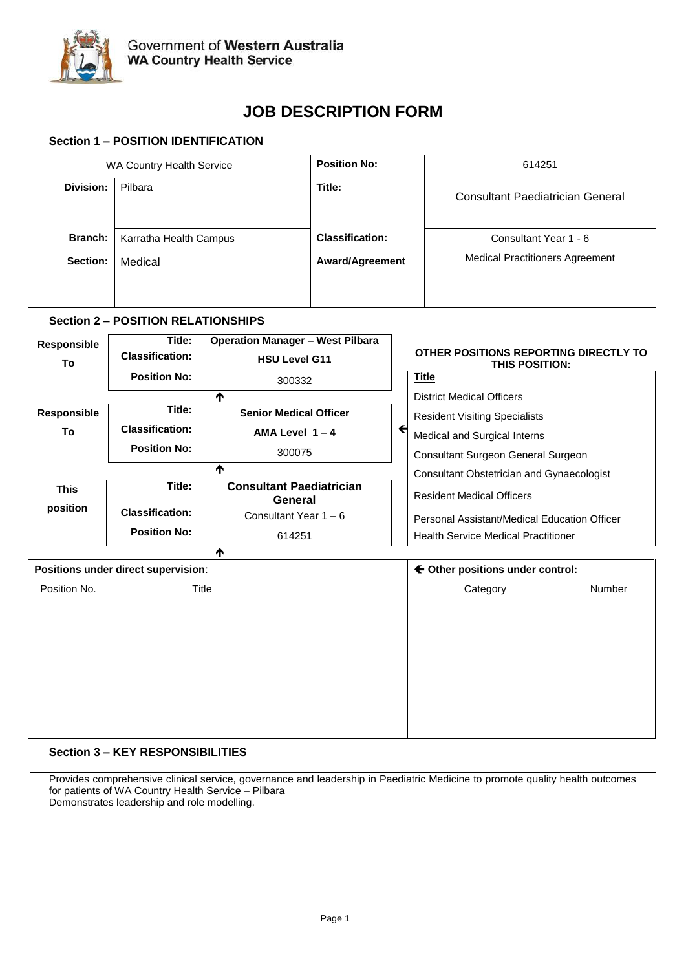

# **JOB DESCRIPTION FORM**

# **Section 1 – POSITION IDENTIFICATION**

| WA Country Health Service |                        | <b>Position No:</b>    | 614251                                  |  |
|---------------------------|------------------------|------------------------|-----------------------------------------|--|
| Division:                 | Pilbara                | Title:                 | <b>Consultant Paediatrician General</b> |  |
| Branch:                   | Karratha Health Campus | <b>Classification:</b> | Consultant Year 1 - 6                   |  |
| Section:                  | Medical                | <b>Award/Agreement</b> | <b>Medical Practitioners Agreement</b>  |  |

# **Section 2 – POSITION RELATIONSHIPS**

|                        | <b>Operation Manager - West Pilbara</b>    |   |                                                                |
|------------------------|--------------------------------------------|---|----------------------------------------------------------------|
| <b>Classification:</b> | <b>HSU Level G11</b>                       |   | OTHER POSITIONS REPORTING DIRECTLY TO<br><b>THIS POSITION:</b> |
| <b>Position No:</b>    | 300332                                     |   | <b>Title</b>                                                   |
|                        | ₼                                          |   | <b>District Medical Officers</b>                               |
| Title:                 | <b>Senior Medical Officer</b>              |   | <b>Resident Visiting Specialists</b>                           |
| <b>Classification:</b> | AMA Level $1 - 4$                          | ← | Medical and Surgical Interns                                   |
| <b>Position No:</b>    | 300075                                     |   | Consultant Surgeon General Surgeon                             |
| ₼                      |                                            |   | Consultant Obstetrician and Gynaecologist                      |
| Title:                 | <b>Consultant Paediatrician</b><br>General |   | <b>Resident Medical Officers</b>                               |
| <b>Classification:</b> | Consultant Year 1 – 6                      |   | Personal Assistant/Medical Education Officer                   |
| <b>Position No:</b>    | 614251                                     |   | <b>Health Service Medical Practitioner</b>                     |
|                        | ₼                                          |   |                                                                |
|                        | Title:                                     |   |                                                                |

| Positions under direct supervision: |       | ← Other positions under control: |          |        |
|-------------------------------------|-------|----------------------------------|----------|--------|
| Position No.                        | Title |                                  | Category | Number |
|                                     |       |                                  |          |        |
|                                     |       |                                  |          |        |
|                                     |       |                                  |          |        |
|                                     |       |                                  |          |        |
|                                     |       |                                  |          |        |
|                                     |       |                                  |          |        |
|                                     |       |                                  |          |        |
|                                     |       |                                  |          |        |

# **Section 3 – KEY RESPONSIBILITIES**

Provides comprehensive clinical service, governance and leadership in Paediatric Medicine to promote quality health outcomes for patients of WA Country Health Service – Pilbara Demonstrates leadership and role modelling.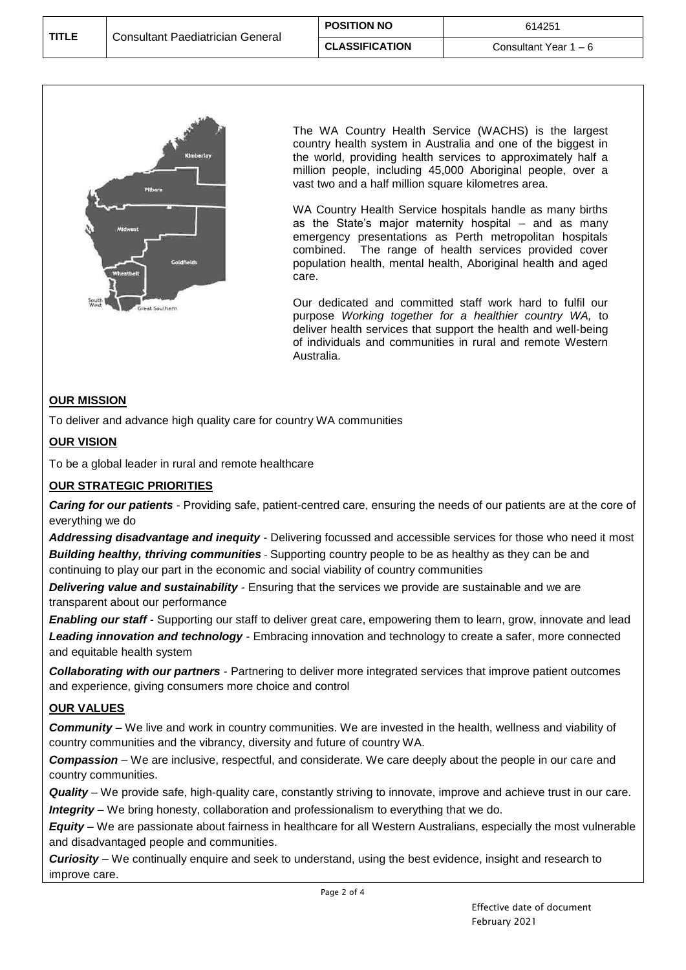| <b>TITLE</b> | Consultant Paediatrician General | <b>POSITION NO</b>    | 614251                |
|--------------|----------------------------------|-----------------------|-----------------------|
|              |                                  | <b>CLASSIFICATION</b> | Consultant Year 1 – 6 |



The WA Country Health Service (WACHS) is the largest country health system in Australia and one of the biggest in the world, providing health services to approximately half a million people, including 45,000 Aboriginal people, over a vast two and a half million square kilometres area.

WA Country Health Service hospitals handle as many births as the State's major maternity hospital – and as many emergency presentations as Perth metropolitan hospitals combined. The range of health services provided cover population health, mental health, Aboriginal health and aged care.

Our dedicated and committed staff work hard to fulfil our purpose *Working together for a healthier country WA,* to deliver health services that support the health and well-being of individuals and communities in rural and remote Western Australia.

# **OUR MISSION**

To deliver and advance high quality care for country WA communities

# **OUR VISION**

To be a global leader in rural and remote healthcare

# **OUR STRATEGIC PRIORITIES**

*Caring for our patients -* Providing safe, patient-centred care, ensuring the needs of our patients are at the core of everything we do

*Addressing disadvantage and inequity -* Delivering focussed and accessible services for those who need it most *Building healthy, thriving communities* - Supporting country people to be as healthy as they can be and continuing to play our part in the economic and social viability of country communities

*Delivering value and sustainability -* Ensuring that the services we provide are sustainable and we are transparent about our performance

*Enabling our staff* - Supporting our staff to deliver great care, empowering them to learn, grow, innovate and lead *Leading innovation and technology* - Embracing innovation and technology to create a safer, more connected and equitable health system

*Collaborating with our partners* - Partnering to deliver more integrated services that improve patient outcomes and experience, giving consumers more choice and control

# **OUR VALUES**

*Community* – We live and work in country communities. We are invested in the health, wellness and viability of country communities and the vibrancy, diversity and future of country WA.

*Compassion* – We are inclusive, respectful, and considerate. We care deeply about the people in our care and country communities.

*Quality* – We provide safe, high-quality care, constantly striving to innovate, improve and achieve trust in our care. *Integrity* – We bring honesty, collaboration and professionalism to everything that we do.

*Equity* – We are passionate about fairness in healthcare for all Western Australians, especially the most vulnerable and disadvantaged people and communities.

*Curiosity* – We continually enquire and seek to understand, using the best evidence, insight and research to improve care.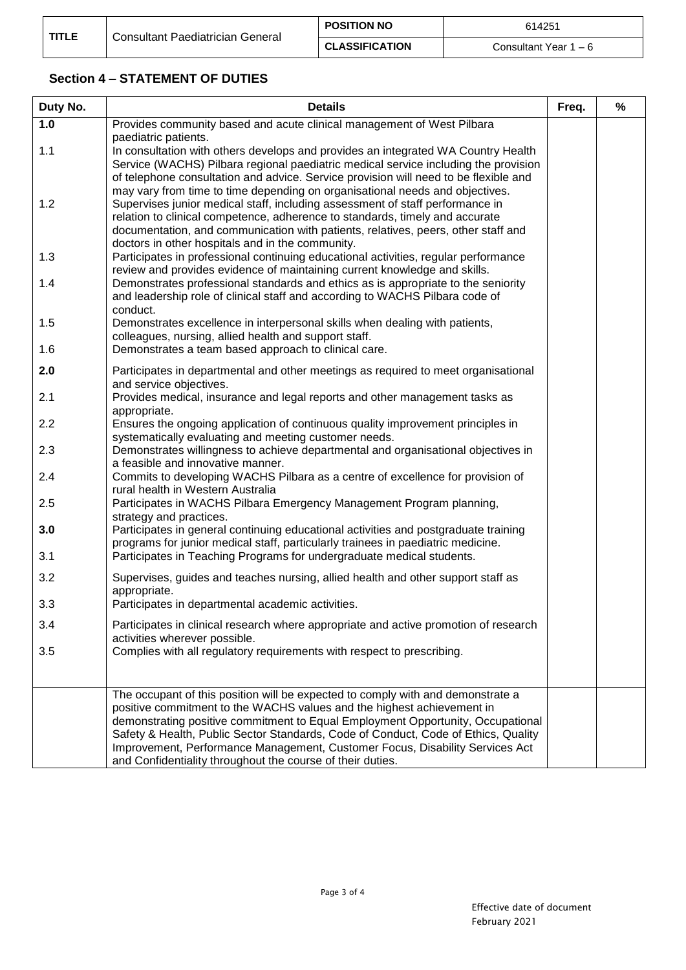# **Section 4 – STATEMENT OF DUTIES**

| Duty No. | <b>Details</b>                                                                                                                                                                                                                                                                                                                                                                         | Freq. | % |
|----------|----------------------------------------------------------------------------------------------------------------------------------------------------------------------------------------------------------------------------------------------------------------------------------------------------------------------------------------------------------------------------------------|-------|---|
| 1.0      | Provides community based and acute clinical management of West Pilbara                                                                                                                                                                                                                                                                                                                 |       |   |
| 1.1      | paediatric patients.<br>In consultation with others develops and provides an integrated WA Country Health<br>Service (WACHS) Pilbara regional paediatric medical service including the provision<br>of telephone consultation and advice. Service provision will need to be flexible and                                                                                               |       |   |
| 1.2      | may vary from time to time depending on organisational needs and objectives.<br>Supervises junior medical staff, including assessment of staff performance in<br>relation to clinical competence, adherence to standards, timely and accurate<br>documentation, and communication with patients, relatives, peers, other staff and<br>doctors in other hospitals and in the community. |       |   |
| 1.3      | Participates in professional continuing educational activities, regular performance<br>review and provides evidence of maintaining current knowledge and skills.                                                                                                                                                                                                                       |       |   |
| 1.4      | Demonstrates professional standards and ethics as is appropriate to the seniority<br>and leadership role of clinical staff and according to WACHS Pilbara code of<br>conduct.                                                                                                                                                                                                          |       |   |
| 1.5      | Demonstrates excellence in interpersonal skills when dealing with patients,<br>colleagues, nursing, allied health and support staff.                                                                                                                                                                                                                                                   |       |   |
| 1.6      | Demonstrates a team based approach to clinical care.                                                                                                                                                                                                                                                                                                                                   |       |   |
| 2.0      | Participates in departmental and other meetings as required to meet organisational<br>and service objectives.                                                                                                                                                                                                                                                                          |       |   |
| 2.1      | Provides medical, insurance and legal reports and other management tasks as<br>appropriate.                                                                                                                                                                                                                                                                                            |       |   |
| 2.2      | Ensures the ongoing application of continuous quality improvement principles in<br>systematically evaluating and meeting customer needs.                                                                                                                                                                                                                                               |       |   |
| 2.3      | Demonstrates willingness to achieve departmental and organisational objectives in<br>a feasible and innovative manner.                                                                                                                                                                                                                                                                 |       |   |
| 2.4      | Commits to developing WACHS Pilbara as a centre of excellence for provision of<br>rural health in Western Australia                                                                                                                                                                                                                                                                    |       |   |
| 2.5      | Participates in WACHS Pilbara Emergency Management Program planning,<br>strategy and practices.                                                                                                                                                                                                                                                                                        |       |   |
| 3.0      | Participates in general continuing educational activities and postgraduate training                                                                                                                                                                                                                                                                                                    |       |   |
| 3.1      | programs for junior medical staff, particularly trainees in paediatric medicine.<br>Participates in Teaching Programs for undergraduate medical students.                                                                                                                                                                                                                              |       |   |
| 3.2      | Supervises, guides and teaches nursing, allied health and other support staff as<br>appropriate.                                                                                                                                                                                                                                                                                       |       |   |
| 3.3      | Participates in departmental academic activities.                                                                                                                                                                                                                                                                                                                                      |       |   |
| 3.4      | Participates in clinical research where appropriate and active promotion of research<br>activities wherever possible.                                                                                                                                                                                                                                                                  |       |   |
| 3.5      | Complies with all regulatory requirements with respect to prescribing.                                                                                                                                                                                                                                                                                                                 |       |   |
|          |                                                                                                                                                                                                                                                                                                                                                                                        |       |   |
|          | The occupant of this position will be expected to comply with and demonstrate a<br>positive commitment to the WACHS values and the highest achievement in                                                                                                                                                                                                                              |       |   |
|          | demonstrating positive commitment to Equal Employment Opportunity, Occupational<br>Safety & Health, Public Sector Standards, Code of Conduct, Code of Ethics, Quality                                                                                                                                                                                                                  |       |   |
|          | Improvement, Performance Management, Customer Focus, Disability Services Act<br>and Confidentiality throughout the course of their duties.                                                                                                                                                                                                                                             |       |   |